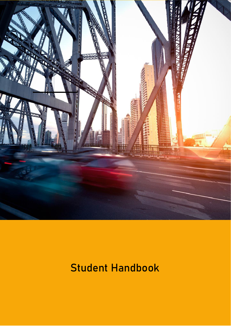

# **Student Handbook**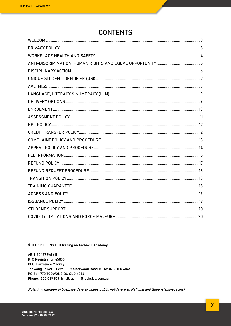### **CONTENTS**

#### © TEC SKILL PTY LTD trading as Techskill Academy

ABN: 20 167 941 611 RTO Registration 45055 **CEO: Lawrence Mackey** Toowong Tower - Level 10, 9 Sherwood Road TOOWONG QLD 4066 PO Box 770 TOOWONG DC QLD 4066 Phone: 1300 089 979 Email: admin@techskill.com.au

Note: Any mention of business days excludes public holidays (i.e., National and Queensland-specific).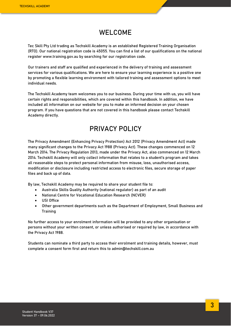### **WELCOME**

<span id="page-2-0"></span>Tec Skill Pty Ltd trading as Techskill Academy is an established Registered Training Organisation (RTO). Our national registration code is 45055. You can find a list of our qualifications on the national register www.training.gov.au by searching for our registration code.

Our trainers and staff are qualified and experienced in the delivery of training and assessment services for various qualifications. We are here to ensure your learning experience is a positive one by promoting a flexible learning environment with tailored training and assessment options to meet individual needs.

The Techskill Academy team welcomes you to our business. During your time with us, you will have certain rights and responsibilities, which are covered within this handbook. In addition, we have included all information on our website for you to make an informed decision on your chosen program. If you have questions that are not covered in this handbook please contact Techskill Academy directly.

### **PRIVACY POLICY**

<span id="page-2-1"></span>The Privacy Amendment (Enhancing Privacy Protection) Act 2012 (Privacy Amendment Act) made many significant changes to the Privacy Act 1988 (Privacy Act). These changes commenced on 12 March 2014. The Privacy Regulation 2013, made under the Privacy Act, also commenced on 12 March 2014. Techskill Academy will only collect information that relates to a student's program and takes all reasonable steps to protect personal information from misuse, loss, unauthorised access, modification or disclosure including restricted access to electronic files, secure storage of paper files and back up of data.

By law, Techskill Academy may be required to share your student file to:

- Australia Skills Quality Authority (national regulator) as part of an audit
- National Centre for Vocational Education Research (NCVER)
- USI Office
- Other government departments such as the Department of Employment, Small Business and Training

No further access to your enrolment information will be provided to any other organisation or persons without your written consent, or unless authorised or required by law, in accordance with the Privacy Act 1988.

Students can nominate a third party to access their enrolment and training details, however, must complete a consent form first and return this to [admin@techskill.com.au](mailto:admin@techskill.com.au)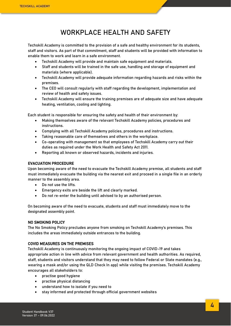### **WORKPLACE HEALTH AND SAFETY**

<span id="page-3-0"></span>Techskill Academy is committed to the provision of a safe and healthy environment for its students, staff and visitors. As part of that commitment, staff and students will be provided with information to enable them to work and learn in a safe environment.

- Techskill Academy will provide and maintain safe equipment and materials.
- Staff and students will be trained in the safe use, handling and storage of equipment and materials (where applicable).
- Techskill Academy will provide adequate information regarding hazards and risks within the premises.
- The CEO will consult regularly with staff regarding the development, implementation and review of health and safety issues.
- Techskill Academy will ensure the training premises are of adequate size and have adequate heating, ventilation, cooling and lighting.

Each student is responsible for ensuring the safety and health of their environment by:

- Making themselves aware of the relevant Techskill Academy policies, procedures and instructions.
- Complying with all Techskill Academy policies, procedures and instructions.
- Taking reasonable care of themselves and others in the workplace.
- Co-operating with management so that employees of Techskill Academy carry out their duties as required under the Work Health and Safety Act 2011.
- Reporting all known or observed hazards, incidents and injuries.

### EVACUATION PROCEDURE

Upon becoming aware of the need to evacuate the Techskill Academy premise, all students and staff must immediately evacuate the building via the nearest exit and proceed in a single file in an orderly manner to the assembly area.

- Do not use the lifts.
- Emergency exits are beside the lift and clearly marked.
- Do not re-enter the building until advised to by an authorised person.

On becoming aware of the need to evacuate, students and staff must immediately move to the designated assembly point.

### NO SMOKING POLICY

The No Smoking Policy precludes anyone from smoking on Techskill Academy's premises. This includes the areas immediately outside entrances to the building.

### COVID MEASURES ON THE PREMISES

Techskill Academy is continuously monitoring the ongoing impact of COVID-19 and takes appropriate action in line with advice from relevant government and health authorities. As required, staff, students and visitors understand that they may need to follow Federal or State mandates (e.g., wearing a mask and/or using the QLD Check In app) while visiting the premises. Techskill Academy encourages all stakeholders to:

- practise good hygiene
- practise physical distancing
- understand how to isolate if you need to
- stay informed and protected through official government websites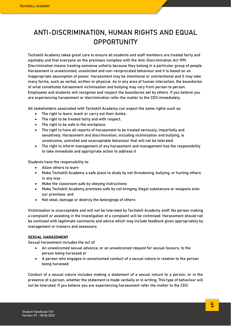## <span id="page-4-0"></span>**ANTI-DISCRIMINATION, HUMAN RIGHTS AND EQUAL OPPORTUNITY**

Techskill Academy takes great care to ensure all students and staff members are treated fairly and equitably and that everyone on the premises complies with the Anti-Discrimination Act 1991. Discrimination means treating someone unfairly because they belong in a particular group of people. Harassment is unwelcomed, unsolicited and non-reciprocated behaviour and it is based on an inappropriate assumption of power. Harassment may be intentional or unintentional and it may take many forms, such as verbal, written or physical. As in any area of human interaction, the boundaries of what constitutes harassment victimisation and bullying may vary from person to person. Employees and students will recognise and respect the boundaries set by others. If you believe you are experiencing harassment or discrimination refer the matter to the CEO immediately.

All stakeholders associated with Techskill Academy can expect the same rights such as:

- The right to learn, teach or carry out their duties.
- The right to be treated fairly and with respect.
- The right to be safe in the workplace.
- The right to have all reports of harassment to be treated seriously, impartially and sensitively. Harassment and discrimination, including victimisation and bullying, is unwelcome, uninvited and unacceptable behaviour that will not be tolerated
- The right to inform management of any harassment and management has the responsibility to take immediate and appropriate action to address it

Students have the responsibility to:

- Allow others to learn
- Make Techskill Academy a safe place to study by not threatening, bullying, or hurting others in any way
- Make the classroom safe by obeying instructions
- Make Techskill Academy premises safe by not bringing illegal substances or weapons onto our premises: and
- Not steal, damage or destroy the belongings of others

Victimisation is unacceptable and will not be tolerated by Techskill Academy staff. No person making a complaint or assisting in the investigation of a complaint will be victimised. Harassment should not be confused with legitimate comments and advice which may include feedback given appropriately by management or trainers and assessors.

### SEXUAL HARASSMENT

Sexual harassment includes the act of:

- An unwelcomed sexual advance, or an unwelcomed request for sexual favours, to the person being harassed or
- A person who engages in unwelcomed conduct of a sexual nature in relation to the person being harassed

Conduct of a sexual nature includes making a statement of a sexual nature to a person, or in the presence of a person, whether the statement is made verbally or in writing. This type of behaviour will not be tolerated. If you believe you are experiencing harassment refer the matter to the CEO.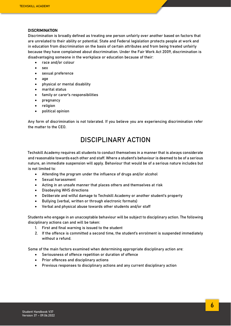#### **DISCRIMINATION**

Discrimination is broadly defined as treating one person unfairly over another based on factors that are unrelated to their ability or potential. State and Federal legislation protects people at work and in education from discrimination on the basis of certain attributes and from being treated unfairly because they have complained about discrimination. Under the Fair Work Act 2009, discrimination is disadvantaging someone in the workplace or education because of their:

- race and/or colour
- sex
- sexual preference
- age
- physical or mental disability
- marital status
- family or carer's responsibilities
- pregnancy
- religion
- political opinion

Any form of discrimination is not tolerated. If you believe you are experiencing discrimination refer the matter to the CEO.

### **DISCIPLINARY ACTION**

<span id="page-5-0"></span>Techskill Academy requires all students to conduct themselves in a manner that is always considerate and reasonable towards each other and staff. Where a student's behaviour is deemed to be of a serious nature, an immediate suspension will apply. Behaviour that would be of a serious nature includes but is not limited to:

- Attending the program under the influence of drugs and/or alcohol
- Sexual harassment
- Acting in an unsafe manner that places others and themselves at risk
- Disobeying WHS directions
- Deliberate and wilful damage to Techskill Academy or another student's property
- Bullying (verbal, written or through electronic formats)
- Verbal and physical abuse towards other students and/or staff

Students who engage in an unacceptable behaviour will be subject to disciplinary action. The following disciplinary actions can and will be taken:

- 1. First and final warning is issued to the student
- 2. If the offence is committed a second time, the student's enrolment is suspended immediately without a refund.

Some of the main factors examined when determining appropriate disciplinary action are:

- Seriousness of offence repetition or duration of offence
- Prior offences and disciplinary actions
- Previous responses to disciplinary actions and any current disciplinary action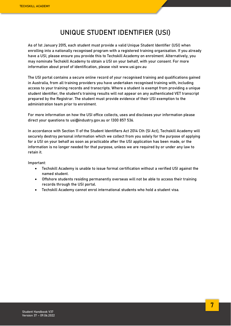### **UNIQUE STUDENT IDENTIFIER (USI)**

<span id="page-6-0"></span>As of 1st January 2015, each student must provide a valid Unique Student Identifier (USI) when enrolling into a nationally recognised program with a registered training organisation. If you already have a USI, please ensure you provide this to Techskill Academy on enrolment. Alternatively, you may nominate Techskill Academy to obtain a USI on your behalf, with your consent. For more information about proof of identification, please visit [www.usi.gov.au](http://www.usi.gov.au/)

The USI portal contains a secure online record of your recognised training and qualifications gained in Australia, from all training providers you have undertaken recognised training with, including access to your training records and transcripts. Where a student is exempt from providing a unique student identifier, the student's training results will not appear on any authenticated VET transcript prepared by the Registrar. The student must provide evidence of their USI exemption to the administration team prior to enrolment.

For more information on how the USI office collects, uses and discloses your information please direct your questions to [usi@industry.gov.au](mailto:usi@industry.gov.au) or 1300 857 536.

In accordance with Section 11 of the Student Identifiers Act 2014 Cth (SI Act), Techskill Academy will securely destroy personal information which we collect from you solely for the purpose of applying for a USI on your behalf as soon as practicable after the USI application has been made, or the information is no longer needed for that purpose, unless we are required by or under any law to retain it.

Important:

- Techskill Academy is unable to issue formal certification without a verified USI against the named student.
- Offshore students residing permanently overseas will not be able to access their training records through the USI portal.
- Techskill Academy cannot enrol international students who hold a student visa.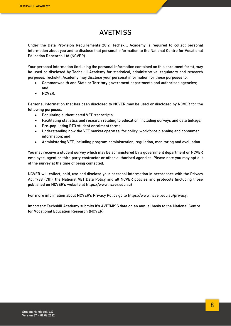### **AVETMISS**

<span id="page-7-0"></span>Under the Data Provision Requirements 2012, Techskill Academy is required to collect personal information about you and to disclose that personal information to the National Centre for Vocational Education Research Ltd (NCVER).

Your personal information (including the personal information contained on this enrolment form), may be used or disclosed by Techskill Academy for statistical, administrative, regulatory and research purposes. Techskill Academy may disclose your personal information for these purposes to:

- Commonwealth and State or Territory government departments and authorised agencies; and
- NCVER.

Personal information that has been disclosed to NCVER may be used or disclosed by NCVER for the following purposes:

- Populating authenticated VET transcripts;
- Facilitating statistics and research relating to education, including surveys and data linkage;
- Pre-populating RTO student enrolment forms;
- Understanding how the VET market operates, for policy, workforce planning and consumer information; and
- Administering VET, including program administration, regulation, monitoring and evaluation.

You may receive a student survey which may be administered by a government department or NCVER employee, agent or third party contractor or other authorised agencies. Please note you may opt out of the survey at the time of being contacted.

NCVER will collect, hold, use and disclose your personal information in accordance with the Privacy Act 1988 (Cth), the National VET Data Policy and all NCVER policies and protocols (including those published on NCVER's website at [https://www.ncver.edu.au\)](https://www.ncver.edu.au/)

For more information about NCVER's Privacy Policy go to [https://www.ncver.edu.au/privacy.](https://www.ncver.edu.au/privacy)

Important: Techskill Academy submits it's AVETMISS data on an annual basis to the National Centre for Vocational Education Research (NCVER).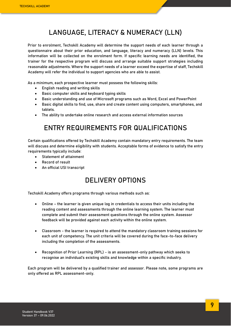### **LANGUAGE, LITERACY & NUMERACY (LLN)**

<span id="page-8-0"></span>Prior to enrolment, Techskill Academy will determine the support needs of each learner through a questionnaire about their prior education, and language, literacy and numeracy (LLN) levels. This information will be collected on the enrolment form. If specific learning needs are identified, the trainer for the respective program will discuss and arrange suitable support strategies including reasonable adjustments. Where the support needs of a learner exceed the expertise of staff, Techskill Academy will refer the individual to support agencies who are able to assist.

As a minimum, each prospective learner must possess the following skills:

- English reading and writing skills
- Basic computer skills and keyboard typing skills
- Basic understanding and use of Microsoft programs such as Word, Excel and PowerPoint
- Basic digital skills to find, use, share and create content using computers, smartphones, and tablets.
- The ability to undertake online research and access external information sources

### **ENTRY REQUIREMENTS FOR QUALIFICATIONS**

Certain qualifications offered by Techskill Academy contain mandatory entry requirements. The team will discuss and determine eligibility with students. Acceptable forms of evidence to satisfy the entry requirements typically include:

- Statement of attainment
- Record of result
- <span id="page-8-1"></span>• An official USI transcript

### **DELIVERY OPTIONS**

Techskill Academy offers programs through various methods such as:

- Online the learner is given unique log in credentials to access their units including the reading content and assessments through the online learning system. The learner must complete and submit their assessment questions through the online system. Assessor feedback will be provided against each activity within the online system.
- Classroom the learner is required to attend the mandatory classroom training sessions for each unit of competency. The unit criteria will be covered during the face-to-face delivery including the completion of the assessments.
- Recognition of Prior Learning (RPL) is an assessment-only pathway which seeks to recognise an individual's existing skills and knowledge within a specific industry.

Each program will be delivered by a qualified trainer and assessor. Please note, some programs are only offered as RPL assessment-only.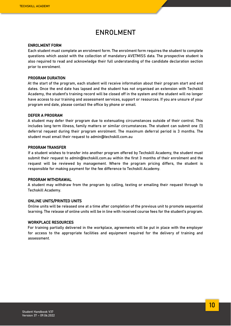### **ENROLMENT**

#### <span id="page-9-0"></span>ENROLMENT FORM

Each student must complete an enrolment form. The enrolment form requires the student to complete questions which assist with the collection of mandatory AVETMISS data. The prospective student is also required to read and acknowledge their full understanding of the candidate declaration section prior to enrolment.

#### PROGRAM DURATION

At the start of the program, each student will receive information about their program start and end dates. Once the end date has lapsed and the student has not organised an extension with Techskill Academy, the student's training record will be closed off in the system and the student will no longer have access to our training and assessment services, support or resources. If you are unsure of your program end date, please contact the office by phone or email.

#### DEFER A PROGRAM

A student may defer their program due to extenuating circumstances outside of their control. This includes long term illness, family matters or similar circumstances. The student can submit one (1) deferral request during their program enrolment. The maximum deferral period is 3 months. The student must email their request to [admin@techskill.com.au](mailto:admin@techskill.io)

#### PROGRAM TRANSFER

If a student wishes to transfer into another program offered by Techskill Academy, the student must submit their request to [admin@techskill.com.au](mailto:admin@techskill.com.au) within the first 3 months of their enrolment and the request will be reviewed by management. Where the program pricing differs, the student is responsible for making payment for the fee difference to Techskill Academy.

#### PROGRAM WITHDRAWAL

A student may withdraw from the program by calling, texting or emailing their request through to Techskill Academy.

#### ONLINE UNITS/PRINTED UNITS

Online units will be released one at a time after completion of the previous unit to promote sequential learning. The release of online units will be in line with received course fees for the student's program.

#### WORKPLACE RESOURCES

For training partially delivered in the workplace, agreements will be put in place with the employer for access to the appropriate facilities and equipment required for the delivery of training and assessment.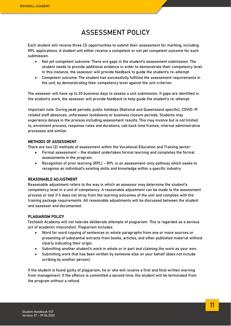### **ASSESSMENT POLICY**

<span id="page-10-0"></span>Each student will receive three (3) opportunities to submit their assessment for marking, including RPL applications. A student will either receive a competent or not yet competent outcome for each submission.

- Not yet competent outcome: There are gaps in the student's assessment submission. The student needs to provide additional evidence in order to demonstrate their competency level. In this instance, the assessor will provide feedback to guide the student's re-attempt.
- Competent outcome: The student has successfully fulfilled the assessment requirements in the unit, by demonstrating their competency level against the unit criterion.

The assessor will have up to 20 business days to assess a unit submission. If gaps are identified in the student's work, the assessor will provide feedback to help guide the student's re-attempt.

Important note: During peak periods, public holidays (National and Queensland specific), COVID-19 related staff absences, unforeseen lockdowns or business closure periods; Students may experience delays in the process including assessment results. This may involve but is not limited to, enrolment process, response rates and durations, call back time frames, internal administrative processes and similar.

### METHODS OF ASSESSMENT

There are two (2) methods of assessment within the Vocational Education and Training sector:

- Formal assessment the student undertakes formal learning and completes the formal assessments in the program.
- Recognition of prior learning (RPL) RPL is an assessment-only pathway which seeks to recognise an individual's existing skills and knowledge within a specific industry.

### REASONABLE ADJUSTMENT

Reasonable adjustment refers to the way in which an assessor may determine the student's competency level in a unit of competency. A reasonable adjustment can be made to the assessment process or tool if it does not stray from the learning outcomes of the unit and complies with the training package requirements. All reasonable adjustments will be discussed between the student and assessor and documented.

### PLAGIARISM POLICY

Techskill Academy will not tolerate deliberate attempts of plagiarism. This is regarded as a serious act of academic misconduct. Plagiarism includes:

- Word for word copying of sentences or whole paragraphs from one or more sources or presenting of substantial extracts from books, articles, and other published material without clearly indicating their origin.
- Submitting another student's work in whole or in part and claiming the work as your own.
- Submitting work that has been written by someone else on your behalf (does not include scribing by another person).

If the student is found guilty of plagiarism, he or she will receive a first and final written warning from management. If the offence is committed a second time, the student will be terminated from the program without a refund.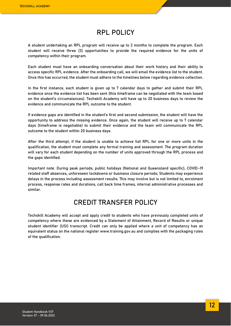### **RPL POLICY**

<span id="page-11-0"></span>A student undertaking an RPL program will receive up to 3 months to complete the program. Each student will receive three (3) opportunities to provide the required evidence for the units of competency within their program.

Each student must have an onboarding conversation about their work history and their ability to access specific RPL evidence. After the onboarding call, we will email the evidence list to the student. Once this has occurred, the student must adhere to the timelines below regarding evidence collection.

In the first instance, each student is given up to 7 calendar days to gather and submit their RPL evidence once the evidence list has been sent (this timeframe can be negotiated with the team based on the student's circumstances). Techskill Academy will have up to 20 business days to review the evidence and communicate the RPL outcome to the student.

If evidence gaps are identified in the student's first and second submission, the student will have the opportunity to address the missing evidence. Once again, the student will receive up to 7 calendar days (timeframe is negotiable) to submit their evidence and the team will communicate the RPL outcome to the student within 20 business days.

After the third attempt, if the student is unable to achieve full RPL for one or more units in the qualification, the student must complete any formal training and assessment. The program duration will vary for each student depending on the number of units approved through the RPL process and the gaps identified.

Important note: During peak periods, public holidays (National and Queensland specific), COVID-19 related staff absences, unforeseen lockdowns or business closure periods; Students may experience delays in the process including assessment results. This may involve but is not limited to, enrolment process, response rates and durations, call back time frames, internal administrative processes and similar.

### **CREDIT TRANSFER POLICY**

<span id="page-11-1"></span>Techskill Academy will accept and apply credit to students who have previously completed units of competency where these are evidenced by a Statement of Attainment, Record of Results or unique student identifier (USI) transcript. Credit can only be applied where a unit of competency has an equivalent status on the national register www.training.gov.au and complies with the packaging rules of the qualification.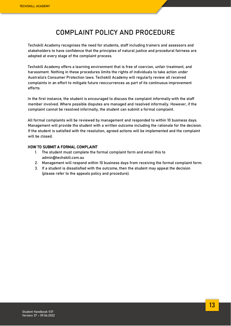### **COMPLAINT POLICY AND PROCEDURE**

<span id="page-12-0"></span>Techskill Academy recognises the need for students, staff including trainers and assessors and stakeholders to have confidence that the principles of natural justice and procedural fairness are adopted at every stage of the complaint process.

Techskill Academy offers a learning environment that is free of coercion, unfair treatment, and harassment. Nothing in these procedures limits the rights of individuals to take action under Australia's Consumer Protection laws. Techskill Academy will regularly review all received complaints in an effort to mitigate future reoccurrences as part of its continuous improvement efforts.

In the first instance, the student is encouraged to discuss the complaint informally with the staff member involved. Where possible disputes are managed and resolved informally. However, if the complaint cannot be resolved informally, the student can submit a formal complaint.

All formal complaints will be reviewed by management and responded to within 10 business days. Management will provide the student with a written outcome including the rationale for the decision. If the student is satisfied with the resolution, agreed actions will be implemented and the complaint will be closed.

#### HOW TO SUBMIT A FORMAL COMPLAINT

- 1. The student must complete the formal complaint form and email this to [admin@techskill.com.au](mailto:admin@tecskill.com.au)
- 2. Management will respond within 10 business days from receiving the formal complaint form.
- 3. If a student is dissatisfied with the outcome, then the student may appeal the decision (please refer to the appeals policy and procedure).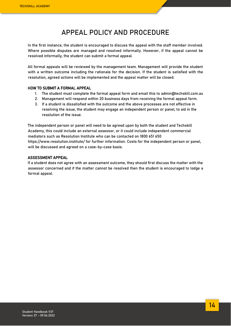### **APPEAL POLICY AND PROCEDURE**

<span id="page-13-0"></span>In the first instance, the student is encouraged to discuss the appeal with the staff member involved. Where possible disputes are managed and resolved informally. However, if the appeal cannot be resolved informally, the student can submit a formal appeal.

All formal appeals will be reviewed by the management team. Management will provide the student with a written outcome including the rationale for the decision. If the student is satisfied with the resolution, agreed actions will be implemented and the appeal matter will be closed.

#### HOW TO SUBMIT A FORMAL APPEAL

- 1. The student must complete the formal appeal form and email this t[o admin@techskill.com.au](mailto:admin@tecskill.com.au)
- 2. Management will respond within 20 business days from receiving the formal appeal form.
- 3. If a student is dissatisfied with the outcome and the above processes are not effective in resolving the issue, the student may engage an independent person or panel, to aid in the resolution of the issue.

The independent person or panel will need to be agreed upon by both the student and Techskill Academy, this could include an external assessor, or it could include independent commercial mediators such as Resolution Institute who can be contacted on 1800 651 650 <https://www.resolution.institute/> for further information. Costs for the independent person or panel, will be discussed and agreed on a case-by-case basis.

#### ASSESSMENT APPEAL

If a student does not agree with an assessment outcome, they should first discuss the matter with the assessor concerned and if the matter cannot be resolved then the student is encouraged to lodge a formal appeal.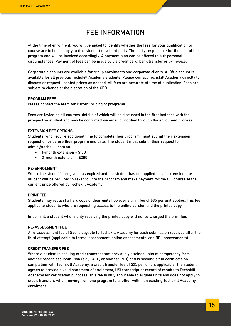### **FEE INFORMATION**

<span id="page-14-0"></span>At the time of enrolment, you will be asked to identify whether the fees for your qualification or course are to be paid by you (the student) or a third party. The party responsible for the cost of the program and will be invoiced accordingly. A payment plan can be offered to suit personal circumstances. Payment of fees can be made by via credit card, bank transfer or by invoice.

Corporate discounts are available for group enrolments and corporate clients. A 10% discount is available for all previous Techskill Academy students. Please contact Techskill Academy directly to discuss or request updated prices as needed. All fees are accurate at time of publication. Fees are subject to change at the discretion of the CEO.

#### PROGRAM FEES

Please contact the team for current pricing of programs.

Fees are levied on all courses, details of which will be discussed in the first instance with the prospective student and may be confirmed via email or notified through the enrolment process.

#### EXTENSION FEE OPTIONS

Students, who require additional time to complete their program, must submit their extension request on or before their program end date. The student must submit their request to [admin@techskill.com.au](mailto:admin@techskill.io)

- 1-month extension \$150
- 2-month extension \$300

#### RE-ENROLMENT

Where the student's program has expired and the student has not applied for an extension, the student will be required to re-enrol into the program and make payment for the full course at the current price offered by Techskill Academy.

#### PRINT FEE

Students may request a hard copy of their units however a print fee of \$35 per unit applies. This fee applies to students who are requesting access to the online version and the printed copy.

Important: a student who is only receiving the printed copy will not be charged the print fee.

#### RE-ASSESSMENT FEE

A re-assessment fee of \$50 is payable to Techskill Academy for each submission received after the third attempt (applicable to formal assessment, online assessments, and RPL assessments).

#### CREDIT TRANSFER FEE

Where a student is seeking credit transfer from previously attained units of competency from another recognised institution (e.g., TAFE, or another RTO) and is seeking a full certificate on completion with Techskill Academy, a credit transfer fee of \$25 per unit is applicable. The student agrees to provide a valid statement of attainment, USI transcript or record of results to Techskill Academy for verification purposes. This fee is only applicable to eligible units and does not apply to credit transfers when moving from one program to another within an existing Techskill Academy enrolment.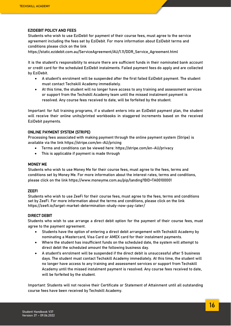#### EZIDEBIT POLICY AND FEES

Students who wish to use EziDebit for payment of their course fees, must agree to the service agreement including the fees set by EziDebit. For more information about EziDebit terms and conditions please click on the link

[https://static.ezidebit.com.au/ServiceAgreement/AU/1.11/DDR\\_Service\\_Agreement.html](https://static.ezidebit.com.au/ServiceAgreement/AU/1.11/DDR_Service_Agreement.html)

It is the student's responsibility to ensure there are sufficient funds in their nominated bank account or credit card for the scheduled EziDebit instalments. Failed payment fees do apply and are collected by EziDebit.

- A student's enrolment will be suspended after the first failed EziDebit payment. The student must contact Techskill Academy immediately.
- At this time, the student will no longer have access to any training and assessment services or support from the Techskill Academy team until the missed instalment payment is resolved. Any course fees received to date, will be forfeited by the student.

Important: for full training programs, if a student enters into an EziDebit payment plan, the student will receive their online units/printed workbooks in staggered increments based on the received EziDebit payments.

#### ONLINE PAYMENT SYSTEM (STRIPE)

Processing fees associated with making payment through the online payment system (Stripe) is available via the link<https://stripe.com/en-AU/pricing>

- Terms and conditions can be viewed here[: https://stripe.com/en-AU/privacy](https://stripe.com/en-AU/privacy)
- This is applicable if payment is made through

#### MONEY ME

Students who wish to use Money Me for their course fees, must agree to the fees, terms and conditions set by Money Me. For more information about the interest rates, terms and conditions, please click on the link<https://www.moneyme.com.au/pip/landing?BID=TA00100001>

#### ZEEFI

Students who wish to use ZeeFi for their course fees, must agree to the fees, terms and conditions set by ZeeFi. For more information about the terms and conditions, please click on the link <https://zeefi.io/target-market-determination-study-now-pay-later/>

#### DIRECT DEBIT

Students who wish to use arrange a direct debit option for the payment of their course fees, must agree to the payment agreement.

- Students have the option of entering a direct debit arrangement with Techskill Academy by nominating a Mastercard, Visa Card or AMEX card for their instalment payments.
- Where the student has insufficient funds on the scheduled date, the system will attempt to direct debit the scheduled amount the following business day.
- A student's enrolment will be suspended if the direct debit is unsuccessful after 5 business days. The student must contact Techskill Academy immediately. At this time, the student will no longer have access to any training and assessment services or support from Techskill Academy until the missed instalment payment is resolved. Any course fees received to date, will be forfeited by the student.

Important: Students will not receive their Certificate or Statement of Attainment until all outstanding course fees have been received by Techskill Academy.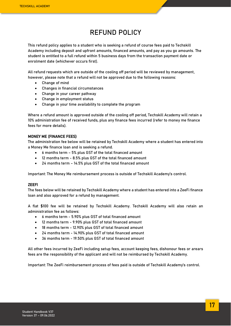### **REFUND POLICY**

<span id="page-16-0"></span>This refund policy applies to a student who is seeking a refund of course fees paid to Techskill Academy including deposit and upfront amounts, financed amounts, and pay as you go amounts. The student is entitled to a full refund within 5 business days from the transaction payment date or enrolment date (whichever occurs first).

All refund requests which are outside of the cooling off period will be reviewed by management, however, please note that a refund will not be approved due to the following reasons:

- Change of mind
- Changes in financial circumstances
- Change in your career pathway
- Change in employment status
- Change in your time availability to complete the program

Where a refund amount is approved outside of the cooling off period, Techskill Academy will retain a 10% administration fee of received funds, plus any finance fees incurred (refer to money me finance fees for more details).

#### MONEY ME (FINANCE FEES)

The administration fee below will be retained by Techskill Academy where a student has entered into a Money Me finance loan and is seeking a refund.

- 6 months term 5% plus GST of the total financed amount
- 12 months term 8.5% plus GST of the total financed amount
- 24 months term 14.5% plus GST of the total financed amount

Important: The Money Me reimbursement process is outside of Techskill Academy's control.

#### ZEEFI

The fees below will be retained by Techskill Academy where a student has entered into a ZeeFi finance loan and also approved for a refund by management.

A flat \$100 fee will be retained by Techskill Academy. Techskill Academy will also retain an administration fee as follows:

- 6 months term 5.90% plus GST of total financed amount
- 12 months term 9.90% plus GST of total financed amount
- 18 months term 12.90% plus GST of total financed amount
- 24 months term 14.90% plus GST of total financed amount
- 36 months term 19.50% plus GST of total financed amount

All other fees incurred by ZeeFi including setup fees, account keeping fees, dishonour fees or arears fees are the responsibility of the applicant and will not be reimbursed by Techskill Academy.

Important: The ZeeFi reimbursement process of fees paid is outside of Techskill Academy's control.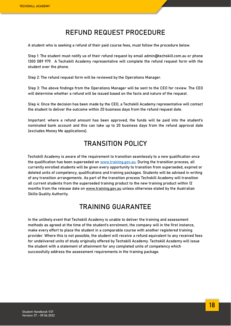### **REFUND REQUEST PROCEDURE**

<span id="page-17-0"></span>A student who is seeking a refund of their paid course fees, must follow the procedure below.

Step 1: The student must notify us of their refund request by email admin@techskill.com.au or phone 1300 089 979. A Techskill Academy representative will complete the refund request form with the student over the phone.

Step 2: The refund request form will be reviewed by the Operations Manager.

Step 3: The above findings from the Operations Manager will be sent to the CEO for review. The CEO will determine whether a refund will be issued based on the facts and nature of the request.

Step 4: Once the decision has been made by the CEO, a Techskill Academy representative will contact the student to deliver the outcome within 20 business days from the refund request date.

Important: where a refund amount has been approved, the funds will be paid into the student's nominated bank account and this can take up to 20 business days from the refund approval date (excludes Money Me applications).

### **TRANSITION POLICY**

<span id="page-17-1"></span>Techskill Academy is aware of the requirement to transition seamlessly to a new qualification once the qualification has been superseded on www.training.gov.au. During the transition process, all currently enrolled students will be given every opportunity to transition from superseded, expired or deleted units of competency, qualifications and training packages. Students will be advised in writing of any transition arrangements. As part of the transition process Techskill Academy will transition all current students from the superseded training product to the new training product within 12 months from the release date on www.training.gov.au unless otherwise stated by the Australian Skills Quality Authority.

### **TRAINING GUARANTEE**

<span id="page-17-2"></span>In the unlikely event that Techskill Academy is unable to deliver the training and assessment methods as agreed at the time of the student's enrolment, the company will in the first instance, make every effort to place the student in a comparable course with another registered training provider. Where this is not possible, the student will receive a refund equivalent to any received fees for undelivered units of study originally offered by Techskill Academy. Techskill Academy will issue the student with a statement of attainment for any completed units of competency which successfully address the assessment requirements in the training package.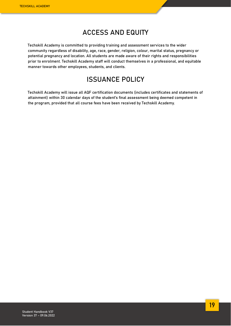### **ACCESS AND EQUITY**

<span id="page-18-0"></span>Techskill Academy is committed to providing training and assessment services to the wider community regardless of disability, age, race, gender, religion, colour, marital status, pregnancy or potential pregnancy and location. All students are made aware of their rights and responsibilities prior to enrolment. Techskill Academy staff will conduct themselves in a professional, and equitable manner towards other employees, students, and clients.

### **ISSUANCE POLICY**

<span id="page-18-1"></span>Techskill Academy will issue all AQF certification documents (includes certificates and statements of attainment) within 30 calendar days of the student's final assessment being deemed competent in the program, provided that all course fees have been received by Techskill Academy.